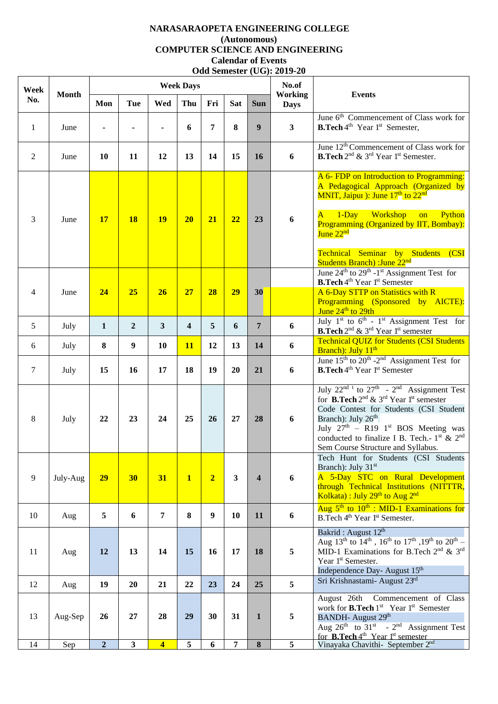## **NARASARAOPETA ENGINEERING COLLEGE (Autonomous) COMPUTER SCIENCE AND ENGINEERING Calendar of Events Odd Semester (UG): 2019-20**

| Week           | <b>Month</b> |                |                         |                         | <b>Week Days</b>        |                |                         |                         | No.of<br><b>Working</b><br><b>Days</b> | <b>Events</b>                                                                                                                                                                                                                                                                                                                                                        |
|----------------|--------------|----------------|-------------------------|-------------------------|-------------------------|----------------|-------------------------|-------------------------|----------------------------------------|----------------------------------------------------------------------------------------------------------------------------------------------------------------------------------------------------------------------------------------------------------------------------------------------------------------------------------------------------------------------|
| No.            |              | Mon            | Tue                     | Wed                     | Thu                     | Fri            | <b>Sat</b>              | <b>Sun</b>              |                                        |                                                                                                                                                                                                                                                                                                                                                                      |
| 1              | June         |                |                         |                         | 6                       | 7              | 8                       | $\boldsymbol{9}$        | $\overline{\mathbf{3}}$                | June 6 <sup>th</sup> Commencement of Class work for<br><b>B.Tech</b> 4 <sup>th</sup> Year 1 <sup>st</sup> Semester,                                                                                                                                                                                                                                                  |
| 2              | June         | 10             | 11                      | 12                      | 13                      | 14             | 15                      | 16                      | 6                                      | June 12 <sup>th</sup> Commencement of Class work for<br><b>B.Tech</b> $2^{nd}$ & $3^{rd}$ Year 1 <sup>st</sup> Semester.                                                                                                                                                                                                                                             |
| 3              | June         | <b>17</b>      | <b>18</b>               | <b>19</b>               | 20                      | 21             | 22                      | 23                      | 6                                      | A 6- FDP on Introduction to Programming:<br>A Pedagogical Approach (Organized by<br>MNIT, Jaipur): June 17 <sup>th</sup> to 22 <sup>nd</sup><br>A 1-Day Workshop on<br>Python<br>Programming (Organized by IIT, Bombay):<br>June 22 <sup>nd</sup><br>Technical Seminar by Students (CSI                                                                              |
|                |              |                |                         |                         |                         |                |                         |                         |                                        | <b>Students Branch)</b> :June 22 <sup>nd</sup><br>June $24th$ to $29th - 1st$ Assignment Test for                                                                                                                                                                                                                                                                    |
| $\overline{4}$ | June         | 24             | 25                      | 26                      | 27                      | 28             | 29                      | 30                      |                                        | <b>B.Tech</b> 4 <sup>th</sup> Year 1 <sup>st</sup> Semester<br>A 6-Day STTP on Statistics with R<br>Programming (Sponsored by AICTE):<br>June $24th$ to $29th$                                                                                                                                                                                                       |
| 5              | July         | $\mathbf{1}$   | $\overline{2}$          | $\overline{\mathbf{3}}$ | $\overline{\mathbf{4}}$ | 5              | 6                       | $\overline{7}$          | 6                                      | July 1 <sup>st</sup> to 6 <sup>th</sup> - 1 <sup>st</sup> Assignment Test for<br><b>B.Tech</b> 2 <sup>nd</sup> & 3 <sup>rd</sup> Year 1 <sup>st</sup> semester                                                                                                                                                                                                       |
| 6              | July         | $\bf{8}$       | 9                       | 10                      | 11                      | 12             | 13                      | 14                      | 6                                      | <b>Technical QUIZ for Students (CSI Students)</b><br>Branch): July 11 <sup>th</sup>                                                                                                                                                                                                                                                                                  |
| $\tau$         | July         | 15             | 16                      | 17                      | 18                      | 19             | 20                      | 21                      | 6                                      | June $15^{th}$ to $20^{th}$ - $2^{nd}$ Assignment Test for<br><b>B.Tech</b> 4 <sup>th</sup> Year 1 <sup>st</sup> Semester                                                                                                                                                                                                                                            |
| 8              | July         | 22             | 23                      | 24                      | 25                      | 26             | 27                      | 28                      | 6                                      | July $22^{nd}$ <sup>t</sup> to $27^{th}$ - $2^{nd}$ Assignment Test<br>for <b>B.Tech</b> $2^{nd}$ & $3^{rd}$ Year 1 <sup>st</sup> semester<br>Code Contest for Students (CSI Student<br>Branch): July 26 <sup>th</sup><br>July $27th$ – R19 1 <sup>st</sup> BOS Meeting was<br>conducted to finalize I B. Tech.- $1st$ & $2nd$<br>Sem Course Structure and Syllabus. |
| 9              | July-Aug     | 29             | 30                      | 31                      | $\overline{1}$          | $\overline{2}$ | $\overline{\mathbf{3}}$ | $\overline{\mathbf{4}}$ | 6                                      | Tech Hunt for Students (CSI Students<br>Branch): July 31 <sup>st</sup><br>A 5-Day STC on Rural Development<br>through Technical Institutions (NITTTR,<br>Kolkata) : July 29 <sup>th</sup> to Aug 2 <sup>nd</sup>                                                                                                                                                     |
| 10             | Aug          | 5              | 6                       | $\overline{7}$          | 8                       | 9              | 10                      | 11                      | 6                                      | Aug $5th$ to $10th$ : MID-1 Examinations for<br>B.Tech 4 <sup>th</sup> Year 1 <sup>st</sup> Semester.                                                                                                                                                                                                                                                                |
| 11             | Aug          | 12             | 13                      | 14                      | 15                      | 16             | 17                      | 18                      | 5                                      | Bakrid: August 12th<br>Aug 13 <sup>th</sup> to 14 <sup>th</sup> , 16 <sup>th</sup> to 17 <sup>th</sup> , 19 <sup>th</sup> to 20 <sup>th</sup> –<br>MID-1 Examinations for B.Tech 2 <sup>nd</sup> & 3 <sup>rd</sup><br>Year 1 <sup>st</sup> Semester.<br>Independence Day- August 15 <sup>th</sup>                                                                    |
| 12             | Aug          | 19             | 20                      | 21                      | 22                      | 23             | 24                      | 25                      | 5                                      | Sri Krishnastami- August 23rd                                                                                                                                                                                                                                                                                                                                        |
| 13             | Aug-Sep      | 26             | 27                      | 28                      | 29                      | 30             | 31                      | $\mathbf{1}$            | 5                                      | August 26th<br>Commencement of Class<br>work for <b>B.Tech</b> 1 <sup>st</sup> Year 1 <sup>st</sup> Semester<br>BANDH- August 29 <sup>th</sup><br>Aug $26^{th}$ to $31^{st}$ - $2^{nd}$ Assignment Test<br>for <b>B.Tech</b> 4 <sup>th</sup> Year 1 <sup>st</sup> semester                                                                                           |
| 14             | Sep          | $\overline{2}$ | $\overline{\mathbf{3}}$ | $\overline{\mathbf{4}}$ | $\sqrt{5}$              | 6              | $\overline{7}$          | 8                       | 5                                      | Vinayaka Chavithi- September 2 <sup>nd</sup>                                                                                                                                                                                                                                                                                                                         |